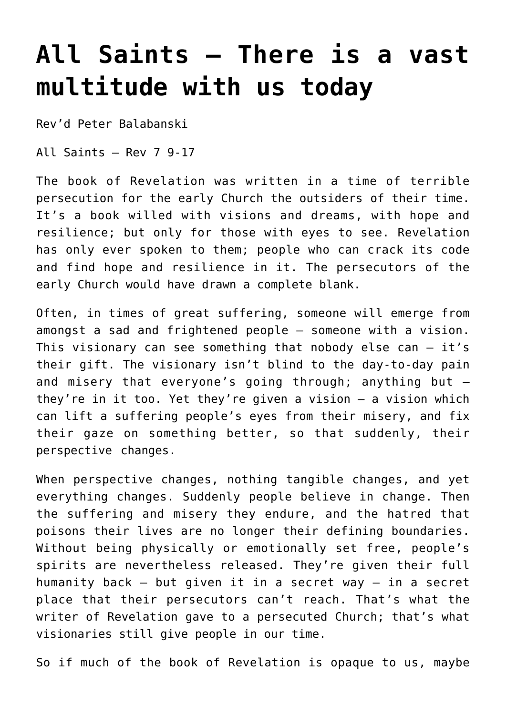## **[All Saints – There is a vast](https://stjohnsadelaide.org.au/all-saints/) [multitude with us today](https://stjohnsadelaide.org.au/all-saints/)**

Rev'd Peter Balabanski

All Saints – Rev 7 9-17

The book of Revelation was written in a time of terrible persecution for the early Church the outsiders of their time. It's a book willed with visions and dreams, with hope and resilience; but only for those with eyes to see. Revelation has only ever spoken to them; people who can crack its code and find hope and resilience in it. The persecutors of the early Church would have drawn a complete blank.

Often, in times of great suffering, someone will emerge from amongst a sad and frightened people – someone with a vision. This visionary can see something that nobody else can – it's their gift. The visionary isn't blind to the day-to-day pain and misery that everyone's going through; anything but – they're in it too. Yet they're given a vision – a vision which can lift a suffering people's eyes from their misery, and fix their gaze on something better, so that suddenly, their perspective changes.

When perspective changes, nothing tangible changes, and yet everything changes. Suddenly people believe in change. Then the suffering and misery they endure, and the hatred that poisons their lives are no longer their defining boundaries. Without being physically or emotionally set free, people's spirits are nevertheless released. They're given their full humanity back – but given it in a secret way – in a secret place that their persecutors can't reach. That's what the writer of Revelation gave to a persecuted Church; that's what visionaries still give people in our time.

So if much of the book of Revelation is opaque to us, maybe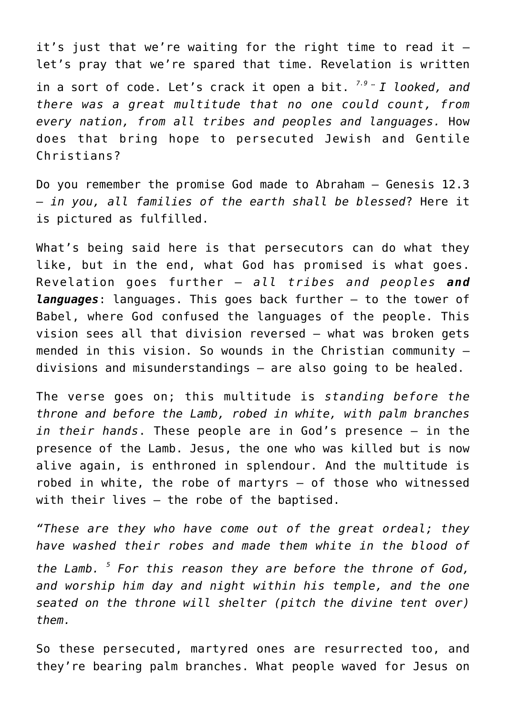it's just that we're waiting for the right time to read it  $$ let's pray that we're spared that time. Revelation is written in a sort of code. Let's crack it open a bit. *7.9 … I looked, and there was a great multitude that no one could count, from every nation, from all tribes and peoples and languages.* How does that bring hope to persecuted Jewish and Gentile Christians?

Do you remember the promise God made to Abraham – Genesis 12.3 – *in you, all families of the earth shall be blessed*? Here it is pictured as fulfilled.

What's being said here is that persecutors can do what they like, but in the end, what God has promised is what goes. Revelation goes further – *all tribes and peoples and languages*: languages. This goes back further – to the tower of Babel, where God confused the languages of the people. This vision sees all that division reversed – what was broken gets mended in this vision. So wounds in the Christian community  $$ divisions and misunderstandings – are also going to be healed.

The verse goes on; this multitude is *standing before the throne and before the Lamb, robed in white, with palm branches in their hands*. These people are in God's presence – in the presence of the Lamb. Jesus, the one who was killed but is now alive again, is enthroned in splendour. And the multitude is robed in white, the robe of martyrs – of those who witnessed with their lives – the robe of the baptised.

*"These are they who have come out of the great ordeal; they have washed their robes and made them white in the blood of the Lamb. <sup>5</sup> For this reason they are before the throne of God, and worship him day and night within his temple, and the one seated on the throne will shelter (pitch the divine tent over) them.*

So these persecuted, martyred ones are resurrected too, and they're bearing palm branches. What people waved for Jesus on